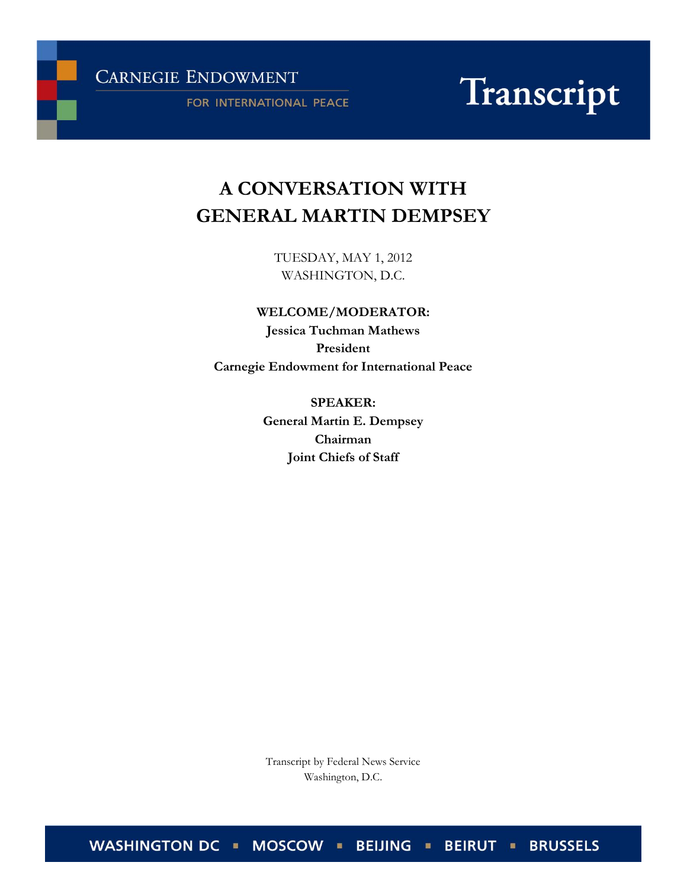**CARNEGIE ENDOWMENT** 

FOR INTERNATIONAL PEACE

# Transcript

# **A CONVERSATION WITH GENERAL MARTIN DEMPSEY**

TUESDAY, MAY 1, 2012 WASHINGTON, D.C.

# **WELCOME/MODERATOR:**

**Jessica Tuchman Mathews President Carnegie Endowment for International Peace**

> **SPEAKER: General Martin E. Dempsey Chairman Joint Chiefs of Staff**

Transcript by Federal News Service Washington, D.C.

WASHINGTON DC · MOSCOW · BEIJING · BEIRUT · BRUSSELS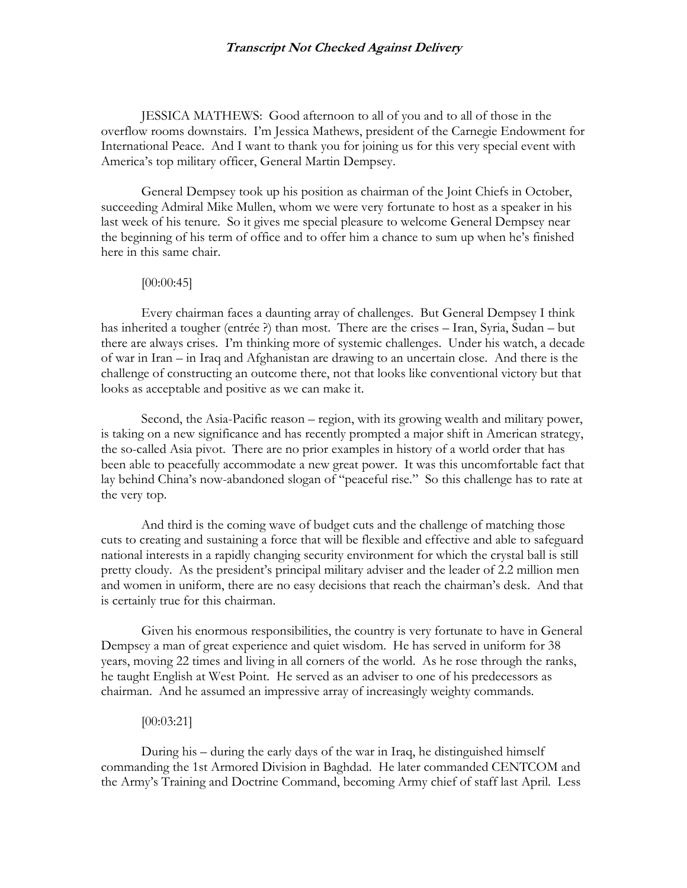JESSICA MATHEWS: Good afternoon to all of you and to all of those in the overflow rooms downstairs. I'm Jessica Mathews, president of the Carnegie Endowment for International Peace. And I want to thank you for joining us for this very special event with America's top military officer, General Martin Dempsey.

General Dempsey took up his position as chairman of the Joint Chiefs in October, succeeding Admiral Mike Mullen, whom we were very fortunate to host as a speaker in his last week of his tenure. So it gives me special pleasure to welcome General Dempsey near the beginning of his term of office and to offer him a chance to sum up when he's finished here in this same chair.

#### [00:00:45]

Every chairman faces a daunting array of challenges. But General Dempsey I think has inherited a tougher (entrée ?) than most. There are the crises – Iran, Syria, Sudan – but there are always crises. I'm thinking more of systemic challenges. Under his watch, a decade of war in Iran – in Iraq and Afghanistan are drawing to an uncertain close. And there is the challenge of constructing an outcome there, not that looks like conventional victory but that looks as acceptable and positive as we can make it.

Second, the Asia-Pacific reason – region, with its growing wealth and military power, is taking on a new significance and has recently prompted a major shift in American strategy, the so-called Asia pivot. There are no prior examples in history of a world order that has been able to peacefully accommodate a new great power. It was this uncomfortable fact that lay behind China's now-abandoned slogan of "peaceful rise." So this challenge has to rate at the very top.

And third is the coming wave of budget cuts and the challenge of matching those cuts to creating and sustaining a force that will be flexible and effective and able to safeguard national interests in a rapidly changing security environment for which the crystal ball is still pretty cloudy. As the president's principal military adviser and the leader of 2.2 million men and women in uniform, there are no easy decisions that reach the chairman's desk. And that is certainly true for this chairman.

Given his enormous responsibilities, the country is very fortunate to have in General Dempsey a man of great experience and quiet wisdom. He has served in uniform for 38 years, moving 22 times and living in all corners of the world. As he rose through the ranks, he taught English at West Point. He served as an adviser to one of his predecessors as chairman. And he assumed an impressive array of increasingly weighty commands.

## [00:03:21]

During his – during the early days of the war in Iraq, he distinguished himself commanding the 1st Armored Division in Baghdad. He later commanded CENTCOM and the Army's Training and Doctrine Command, becoming Army chief of staff last April. Less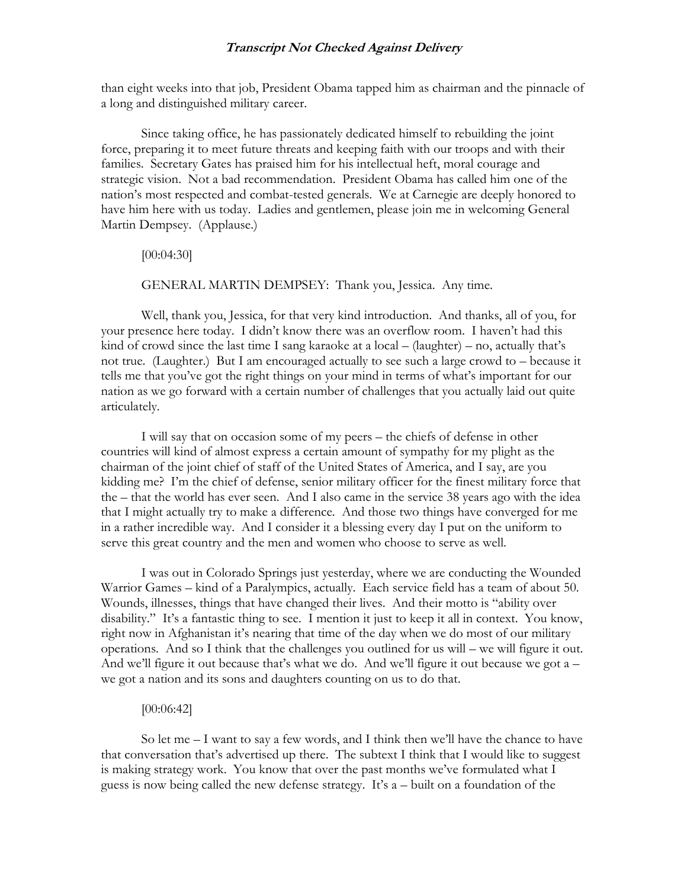than eight weeks into that job, President Obama tapped him as chairman and the pinnacle of a long and distinguished military career.

Since taking office, he has passionately dedicated himself to rebuilding the joint force, preparing it to meet future threats and keeping faith with our troops and with their families. Secretary Gates has praised him for his intellectual heft, moral courage and strategic vision. Not a bad recommendation. President Obama has called him one of the nation's most respected and combat-tested generals. We at Carnegie are deeply honored to have him here with us today. Ladies and gentlemen, please join me in welcoming General Martin Dempsey. (Applause.)

[00:04:30]

GENERAL MARTIN DEMPSEY: Thank you, Jessica. Any time.

Well, thank you, Jessica, for that very kind introduction. And thanks, all of you, for your presence here today. I didn't know there was an overflow room. I haven't had this kind of crowd since the last time I sang karaoke at a local – (laughter) – no, actually that's not true. (Laughter.) But I am encouraged actually to see such a large crowd to – because it tells me that you've got the right things on your mind in terms of what's important for our nation as we go forward with a certain number of challenges that you actually laid out quite articulately.

I will say that on occasion some of my peers – the chiefs of defense in other countries will kind of almost express a certain amount of sympathy for my plight as the chairman of the joint chief of staff of the United States of America, and I say, are you kidding me? I'm the chief of defense, senior military officer for the finest military force that the – that the world has ever seen. And I also came in the service 38 years ago with the idea that I might actually try to make a difference. And those two things have converged for me in a rather incredible way. And I consider it a blessing every day I put on the uniform to serve this great country and the men and women who choose to serve as well.

I was out in Colorado Springs just yesterday, where we are conducting the Wounded Warrior Games – kind of a Paralympics, actually. Each service field has a team of about 50. Wounds, illnesses, things that have changed their lives. And their motto is "ability over disability." It's a fantastic thing to see. I mention it just to keep it all in context. You know, right now in Afghanistan it's nearing that time of the day when we do most of our military operations. And so I think that the challenges you outlined for us will – we will figure it out. And we'll figure it out because that's what we do. And we'll figure it out because we got a – we got a nation and its sons and daughters counting on us to do that.

#### [00:06:42]

So let me – I want to say a few words, and I think then we'll have the chance to have that conversation that's advertised up there. The subtext I think that I would like to suggest is making strategy work. You know that over the past months we've formulated what I guess is now being called the new defense strategy. It's a – built on a foundation of the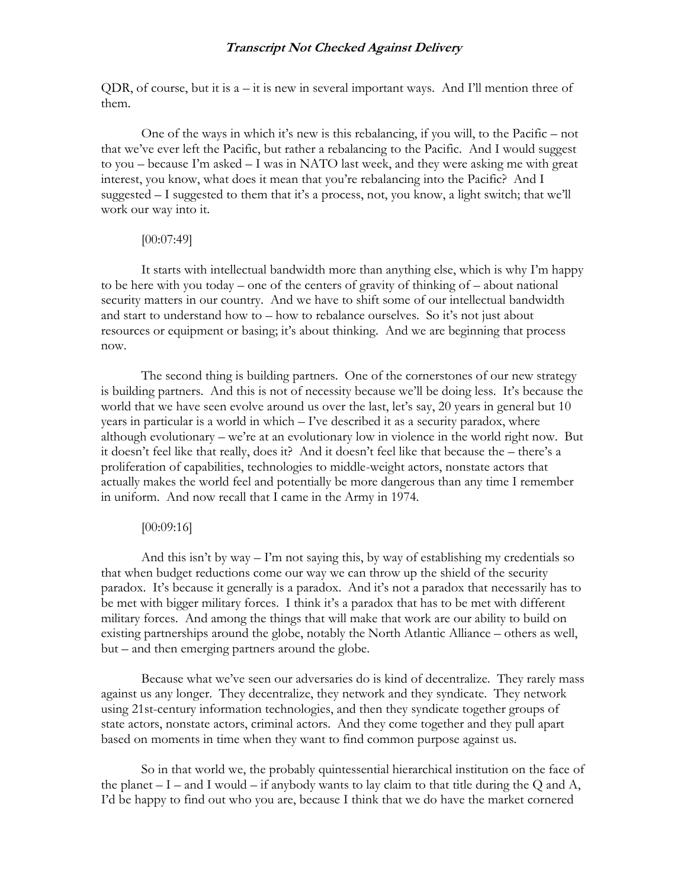QDR, of course, but it is  $a - it$  is new in several important ways. And I'll mention three of them.

One of the ways in which it's new is this rebalancing, if you will, to the Pacific – not that we've ever left the Pacific, but rather a rebalancing to the Pacific. And I would suggest to you – because I'm asked – I was in NATO last week, and they were asking me with great interest, you know, what does it mean that you're rebalancing into the Pacific? And I suggested – I suggested to them that it's a process, not, you know, a light switch; that we'll work our way into it.

#### [00:07:49]

It starts with intellectual bandwidth more than anything else, which is why I'm happy to be here with you today – one of the centers of gravity of thinking of – about national security matters in our country. And we have to shift some of our intellectual bandwidth and start to understand how to – how to rebalance ourselves. So it's not just about resources or equipment or basing; it's about thinking. And we are beginning that process now.

The second thing is building partners. One of the cornerstones of our new strategy is building partners. And this is not of necessity because we'll be doing less. It's because the world that we have seen evolve around us over the last, let's say, 20 years in general but 10 years in particular is a world in which – I've described it as a security paradox, where although evolutionary – we're at an evolutionary low in violence in the world right now. But it doesn't feel like that really, does it? And it doesn't feel like that because the – there's a proliferation of capabilities, technologies to middle-weight actors, nonstate actors that actually makes the world feel and potentially be more dangerous than any time I remember in uniform. And now recall that I came in the Army in 1974.

#### [00:09:16]

And this isn't by way  $-1$ 'm not saying this, by way of establishing my credentials so that when budget reductions come our way we can throw up the shield of the security paradox. It's because it generally is a paradox. And it's not a paradox that necessarily has to be met with bigger military forces. I think it's a paradox that has to be met with different military forces. And among the things that will make that work are our ability to build on existing partnerships around the globe, notably the North Atlantic Alliance – others as well, but – and then emerging partners around the globe.

Because what we've seen our adversaries do is kind of decentralize. They rarely mass against us any longer. They decentralize, they network and they syndicate. They network using 21st-century information technologies, and then they syndicate together groups of state actors, nonstate actors, criminal actors. And they come together and they pull apart based on moments in time when they want to find common purpose against us.

So in that world we, the probably quintessential hierarchical institution on the face of the planet  $-I$  – and I would – if anybody wants to lay claim to that title during the Q and A, I'd be happy to find out who you are, because I think that we do have the market cornered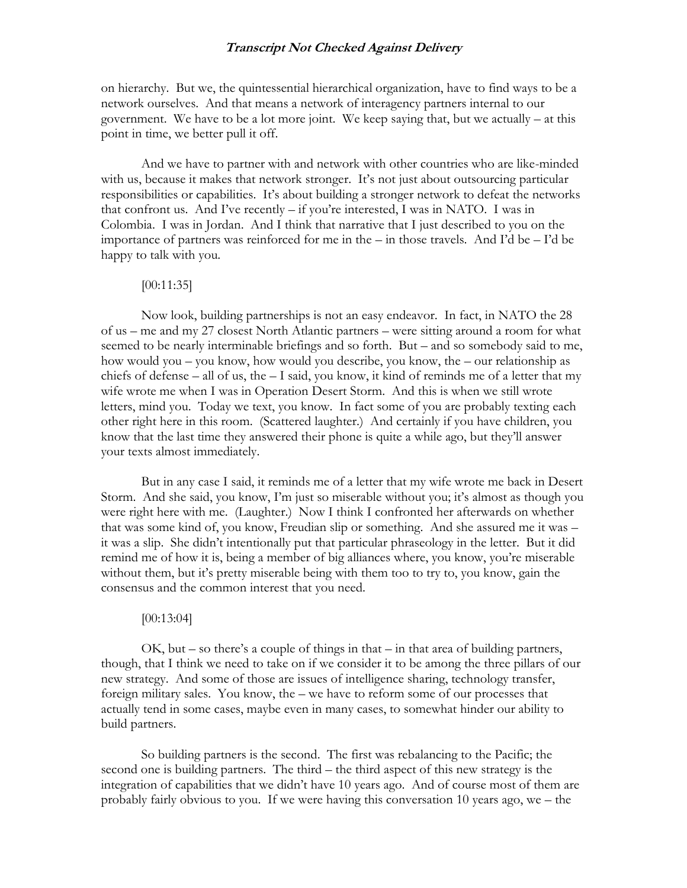on hierarchy. But we, the quintessential hierarchical organization, have to find ways to be a network ourselves. And that means a network of interagency partners internal to our government. We have to be a lot more joint. We keep saying that, but we actually – at this point in time, we better pull it off.

And we have to partner with and network with other countries who are like-minded with us, because it makes that network stronger. It's not just about outsourcing particular responsibilities or capabilities. It's about building a stronger network to defeat the networks that confront us. And I've recently – if you're interested, I was in NATO. I was in Colombia. I was in Jordan. And I think that narrative that I just described to you on the importance of partners was reinforced for me in the – in those travels. And I'd be – I'd be happy to talk with you.

#### [00:11:35]

Now look, building partnerships is not an easy endeavor. In fact, in NATO the 28 of us – me and my 27 closest North Atlantic partners – were sitting around a room for what seemed to be nearly interminable briefings and so forth. But – and so somebody said to me, how would you – you know, how would you describe, you know, the – our relationship as chiefs of defense – all of us, the – I said, you know, it kind of reminds me of a letter that my wife wrote me when I was in Operation Desert Storm. And this is when we still wrote letters, mind you. Today we text, you know. In fact some of you are probably texting each other right here in this room. (Scattered laughter.) And certainly if you have children, you know that the last time they answered their phone is quite a while ago, but they'll answer your texts almost immediately.

But in any case I said, it reminds me of a letter that my wife wrote me back in Desert Storm. And she said, you know, I'm just so miserable without you; it's almost as though you were right here with me. (Laughter.) Now I think I confronted her afterwards on whether that was some kind of, you know, Freudian slip or something. And she assured me it was – it was a slip. She didn't intentionally put that particular phraseology in the letter. But it did remind me of how it is, being a member of big alliances where, you know, you're miserable without them, but it's pretty miserable being with them too to try to, you know, gain the consensus and the common interest that you need.

#### [00:13:04]

 $OK$ , but – so there's a couple of things in that – in that area of building partners, though, that I think we need to take on if we consider it to be among the three pillars of our new strategy. And some of those are issues of intelligence sharing, technology transfer, foreign military sales. You know, the – we have to reform some of our processes that actually tend in some cases, maybe even in many cases, to somewhat hinder our ability to build partners.

So building partners is the second. The first was rebalancing to the Pacific; the second one is building partners. The third – the third aspect of this new strategy is the integration of capabilities that we didn't have 10 years ago. And of course most of them are probably fairly obvious to you. If we were having this conversation 10 years ago, we – the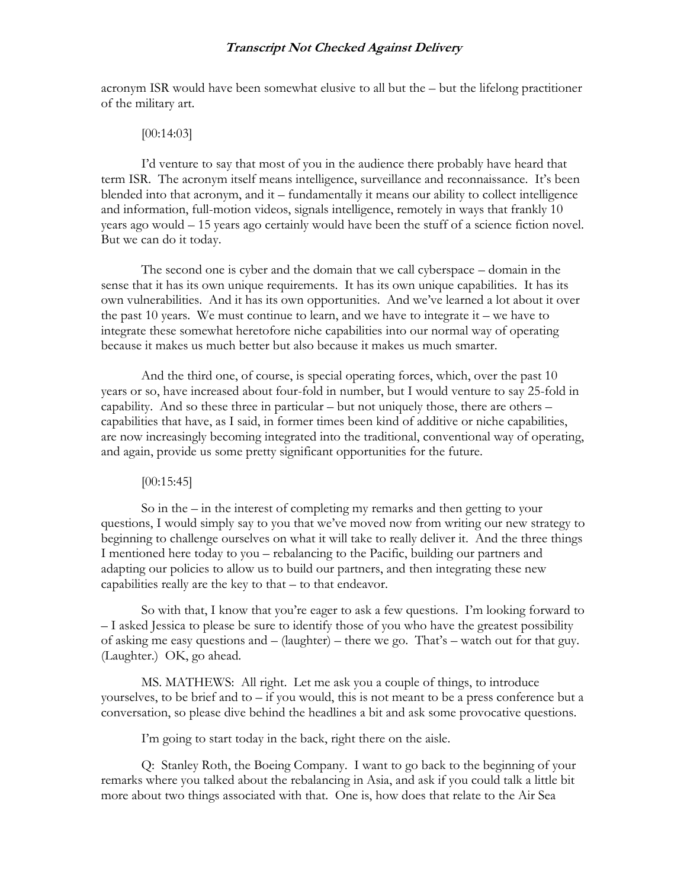acronym ISR would have been somewhat elusive to all but the – but the lifelong practitioner of the military art.

#### [00:14:03]

I'd venture to say that most of you in the audience there probably have heard that term ISR. The acronym itself means intelligence, surveillance and reconnaissance. It's been blended into that acronym, and it – fundamentally it means our ability to collect intelligence and information, full-motion videos, signals intelligence, remotely in ways that frankly 10 years ago would – 15 years ago certainly would have been the stuff of a science fiction novel. But we can do it today.

The second one is cyber and the domain that we call cyberspace – domain in the sense that it has its own unique requirements. It has its own unique capabilities. It has its own vulnerabilities. And it has its own opportunities. And we've learned a lot about it over the past 10 years. We must continue to learn, and we have to integrate it – we have to integrate these somewhat heretofore niche capabilities into our normal way of operating because it makes us much better but also because it makes us much smarter.

And the third one, of course, is special operating forces, which, over the past 10 years or so, have increased about four-fold in number, but I would venture to say 25-fold in capability. And so these three in particular – but not uniquely those, there are others – capabilities that have, as I said, in former times been kind of additive or niche capabilities, are now increasingly becoming integrated into the traditional, conventional way of operating, and again, provide us some pretty significant opportunities for the future.

#### [00:15:45]

So in the – in the interest of completing my remarks and then getting to your questions, I would simply say to you that we've moved now from writing our new strategy to beginning to challenge ourselves on what it will take to really deliver it. And the three things I mentioned here today to you – rebalancing to the Pacific, building our partners and adapting our policies to allow us to build our partners, and then integrating these new capabilities really are the key to that – to that endeavor.

So with that, I know that you're eager to ask a few questions. I'm looking forward to – I asked Jessica to please be sure to identify those of you who have the greatest possibility of asking me easy questions and – (laughter) – there we go. That's – watch out for that guy. (Laughter.) OK, go ahead.

MS. MATHEWS: All right. Let me ask you a couple of things, to introduce yourselves, to be brief and to – if you would, this is not meant to be a press conference but a conversation, so please dive behind the headlines a bit and ask some provocative questions.

I'm going to start today in the back, right there on the aisle.

Q: Stanley Roth, the Boeing Company. I want to go back to the beginning of your remarks where you talked about the rebalancing in Asia, and ask if you could talk a little bit more about two things associated with that. One is, how does that relate to the Air Sea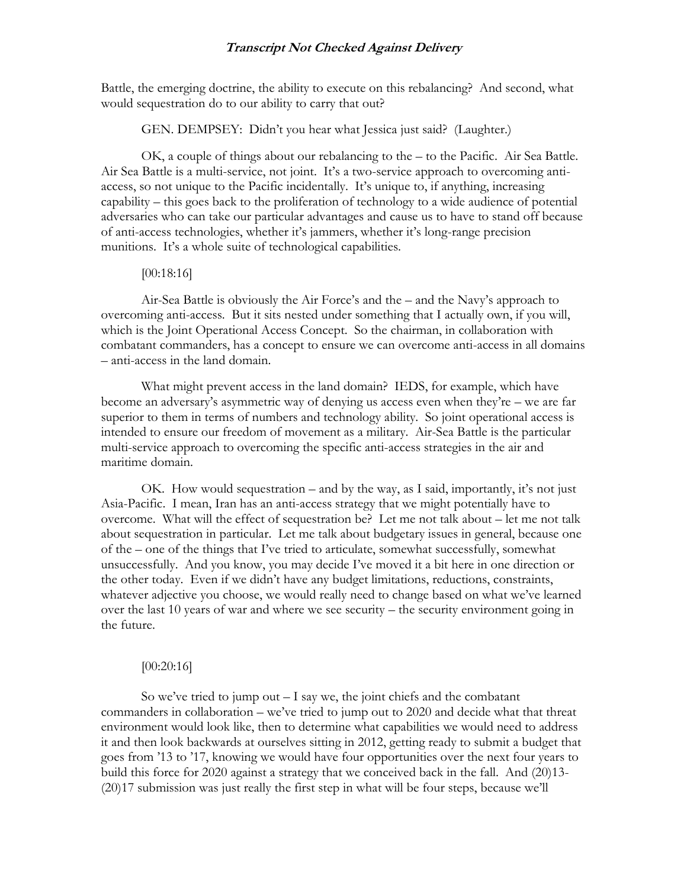Battle, the emerging doctrine, the ability to execute on this rebalancing? And second, what would sequestration do to our ability to carry that out?

GEN. DEMPSEY: Didn't you hear what Jessica just said? (Laughter.)

OK, a couple of things about our rebalancing to the – to the Pacific. Air Sea Battle. Air Sea Battle is a multi-service, not joint. It's a two-service approach to overcoming antiaccess, so not unique to the Pacific incidentally. It's unique to, if anything, increasing capability – this goes back to the proliferation of technology to a wide audience of potential adversaries who can take our particular advantages and cause us to have to stand off because of anti-access technologies, whether it's jammers, whether it's long-range precision munitions. It's a whole suite of technological capabilities.

#### [00:18:16]

Air-Sea Battle is obviously the Air Force's and the – and the Navy's approach to overcoming anti-access. But it sits nested under something that I actually own, if you will, which is the Joint Operational Access Concept. So the chairman, in collaboration with combatant commanders, has a concept to ensure we can overcome anti-access in all domains – anti-access in the land domain.

What might prevent access in the land domain? IEDS, for example, which have become an adversary's asymmetric way of denying us access even when they're – we are far superior to them in terms of numbers and technology ability. So joint operational access is intended to ensure our freedom of movement as a military. Air-Sea Battle is the particular multi-service approach to overcoming the specific anti-access strategies in the air and maritime domain.

OK. How would sequestration – and by the way, as I said, importantly, it's not just Asia-Pacific. I mean, Iran has an anti-access strategy that we might potentially have to overcome. What will the effect of sequestration be? Let me not talk about – let me not talk about sequestration in particular. Let me talk about budgetary issues in general, because one of the – one of the things that I've tried to articulate, somewhat successfully, somewhat unsuccessfully. And you know, you may decide I've moved it a bit here in one direction or the other today. Even if we didn't have any budget limitations, reductions, constraints, whatever adjective you choose, we would really need to change based on what we've learned over the last 10 years of war and where we see security – the security environment going in the future.

#### [00:20:16]

So we've tried to jump out  $-1$  say we, the joint chiefs and the combatant commanders in collaboration – we've tried to jump out to 2020 and decide what that threat environment would look like, then to determine what capabilities we would need to address it and then look backwards at ourselves sitting in 2012, getting ready to submit a budget that goes from '13 to '17, knowing we would have four opportunities over the next four years to build this force for 2020 against a strategy that we conceived back in the fall. And (20)13- (20)17 submission was just really the first step in what will be four steps, because we'll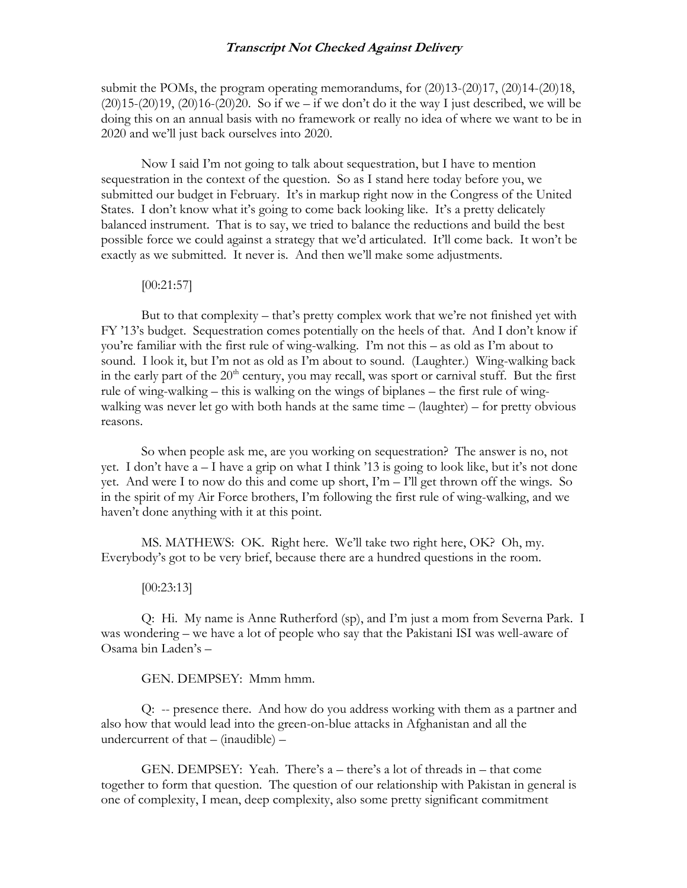submit the POMs, the program operating memorandums, for (20)13-(20)17, (20)14-(20)18,  $(20)15-(20)19$ ,  $(20)16-(20)20$ . So if we – if we don't do it the way I just described, we will be doing this on an annual basis with no framework or really no idea of where we want to be in 2020 and we'll just back ourselves into 2020.

Now I said I'm not going to talk about sequestration, but I have to mention sequestration in the context of the question. So as I stand here today before you, we submitted our budget in February. It's in markup right now in the Congress of the United States. I don't know what it's going to come back looking like. It's a pretty delicately balanced instrument. That is to say, we tried to balance the reductions and build the best possible force we could against a strategy that we'd articulated. It'll come back. It won't be exactly as we submitted. It never is. And then we'll make some adjustments.

#### [00:21:57]

But to that complexity – that's pretty complex work that we're not finished yet with FY '13's budget. Sequestration comes potentially on the heels of that. And I don't know if you're familiar with the first rule of wing-walking. I'm not this – as old as I'm about to sound. I look it, but I'm not as old as I'm about to sound. (Laughter.) Wing-walking back in the early part of the 20<sup>th</sup> century, you may recall, was sport or carnival stuff. But the first rule of wing-walking – this is walking on the wings of biplanes – the first rule of wingwalking was never let go with both hands at the same time – (laughter) – for pretty obvious reasons.

So when people ask me, are you working on sequestration? The answer is no, not yet. I don't have a – I have a grip on what I think '13 is going to look like, but it's not done yet. And were I to now do this and come up short,  $\Gamma m - \Gamma$ ll get thrown off the wings. So in the spirit of my Air Force brothers, I'm following the first rule of wing-walking, and we haven't done anything with it at this point.

MS. MATHEWS: OK. Right here. We'll take two right here, OK? Oh, my. Everybody's got to be very brief, because there are a hundred questions in the room.

#### [00:23:13]

Q: Hi. My name is Anne Rutherford (sp), and I'm just a mom from Severna Park. I was wondering – we have a lot of people who say that the Pakistani ISI was well-aware of Osama bin Laden's –

### GEN. DEMPSEY: Mmm hmm.

Q: -- presence there. And how do you address working with them as a partner and also how that would lead into the green-on-blue attacks in Afghanistan and all the undercurrent of that – (inaudible) –

GEN. DEMPSEY: Yeah. There's a – there's a lot of threads in – that come together to form that question. The question of our relationship with Pakistan in general is one of complexity, I mean, deep complexity, also some pretty significant commitment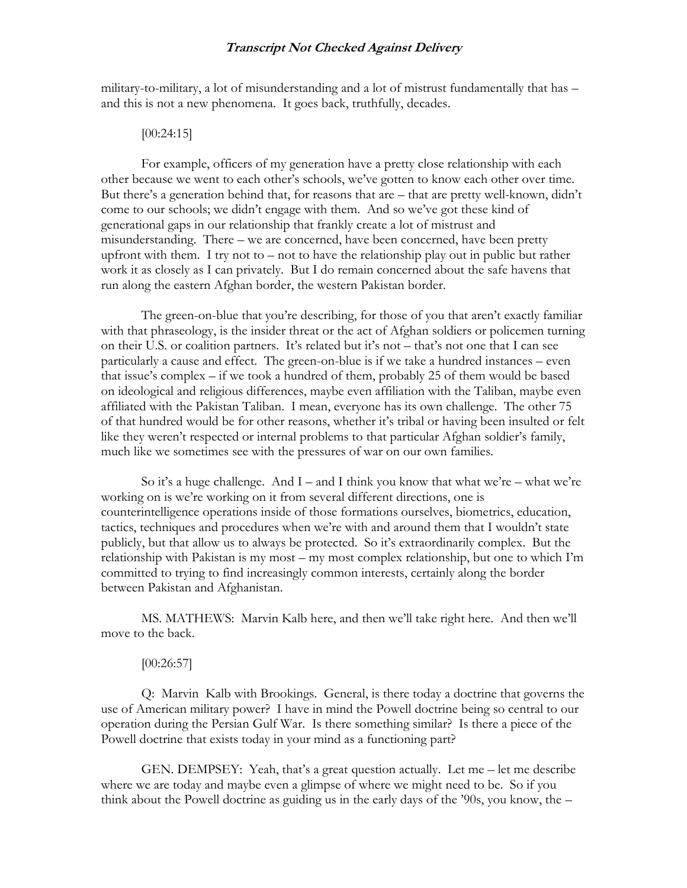military-to-military, a lot of misunderstanding and a lot of mistrust fundamentally that has – and this is not a new phenomena. It goes back, truthfully, decades.

#### [00:24:15]

For example, officers of my generation have a pretty close relationship with each other because we went to each other's schools, we've gotten to know each other over time. But there's a generation behind that, for reasons that are – that are pretty well-known, didn't come to our schools; we didn't engage with them. And so we've got these kind of generational gaps in our relationship that frankly create a lot of mistrust and misunderstanding. There – we are concerned, have been concerned, have been pretty upfront with them. I try not to – not to have the relationship play out in public but rather work it as closely as I can privately. But I do remain concerned about the safe havens that run along the eastern Afghan border, the western Pakistan border.

The green-on-blue that you're describing, for those of you that aren't exactly familiar with that phraseology, is the insider threat or the act of Afghan soldiers or policemen turning on their U.S. or coalition partners. It's related but it's not – that's not one that I can see particularly a cause and effect. The green-on-blue is if we take a hundred instances – even that issue's complex – if we took a hundred of them, probably 25 of them would be based on ideological and religious differences, maybe even affiliation with the Taliban, maybe even affiliated with the Pakistan Taliban. I mean, everyone has its own challenge. The other 75 of that hundred would be for other reasons, whether it's tribal or having been insulted or felt like they weren't respected or internal problems to that particular Afghan soldier's family, much like we sometimes see with the pressures of war on our own families.

So it's a huge challenge. And  $I$  – and I think you know that what we're – what we're working on is we're working on it from several different directions, one is counterintelligence operations inside of those formations ourselves, biometrics, education, tactics, techniques and procedures when we're with and around them that I wouldn't state publicly, but that allow us to always be protected. So it's extraordinarily complex. But the relationship with Pakistan is my most – my most complex relationship, but one to which I'm committed to trying to find increasingly common interests, certainly along the border between Pakistan and Afghanistan.

MS. MATHEWS: Marvin Kalb here, and then we'll take right here. And then we'll move to the back.

#### [00:26:57]

Q: Marvin Kalb with Brookings. General, is there today a doctrine that governs the use of American military power? I have in mind the Powell doctrine being so central to our operation during the Persian Gulf War. Is there something similar? Is there a piece of the Powell doctrine that exists today in your mind as a functioning part?

GEN. DEMPSEY: Yeah, that's a great question actually. Let me – let me describe where we are today and maybe even a glimpse of where we might need to be. So if you think about the Powell doctrine as guiding us in the early days of the '90s, you know, the –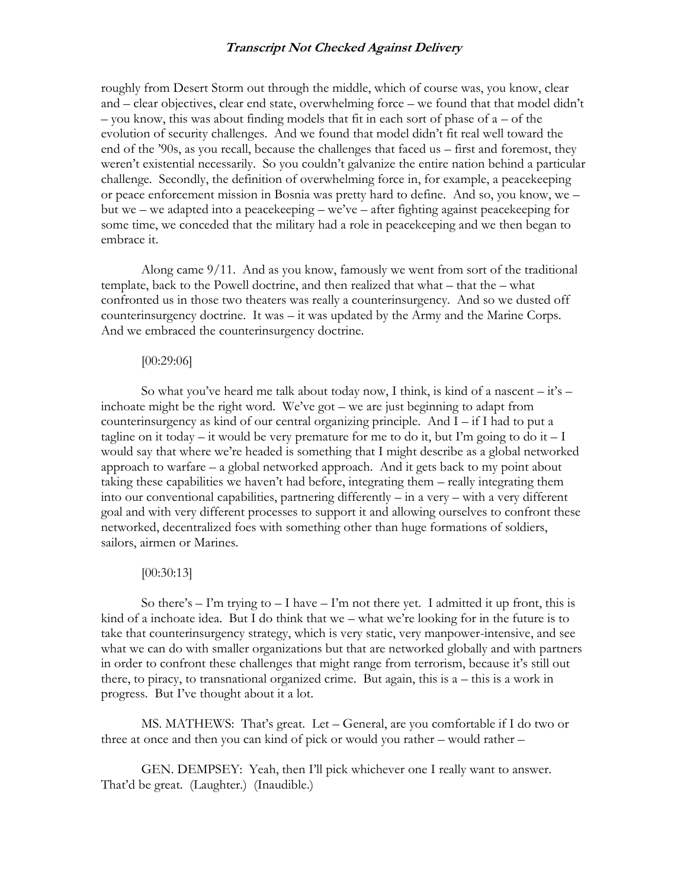roughly from Desert Storm out through the middle, which of course was, you know, clear and – clear objectives, clear end state, overwhelming force – we found that that model didn't – you know, this was about finding models that fit in each sort of phase of a – of the evolution of security challenges. And we found that model didn't fit real well toward the end of the '90s, as you recall, because the challenges that faced us – first and foremost, they weren't existential necessarily. So you couldn't galvanize the entire nation behind a particular challenge. Secondly, the definition of overwhelming force in, for example, a peacekeeping or peace enforcement mission in Bosnia was pretty hard to define. And so, you know, we – but we – we adapted into a peacekeeping – we've – after fighting against peacekeeping for some time, we conceded that the military had a role in peacekeeping and we then began to embrace it.

Along came 9/11. And as you know, famously we went from sort of the traditional template, back to the Powell doctrine, and then realized that what – that the – what confronted us in those two theaters was really a counterinsurgency. And so we dusted off counterinsurgency doctrine. It was – it was updated by the Army and the Marine Corps. And we embraced the counterinsurgency doctrine.

#### [00:29:06]

So what you've heard me talk about today now, I think, is kind of a nascent  $-$  it's  $$ inchoate might be the right word. We've got – we are just beginning to adapt from counterinsurgency as kind of our central organizing principle. And I – if I had to put a tagline on it today – it would be very premature for me to do it, but I'm going to do it – I would say that where we're headed is something that I might describe as a global networked approach to warfare – a global networked approach. And it gets back to my point about taking these capabilities we haven't had before, integrating them – really integrating them into our conventional capabilities, partnering differently – in a very – with a very different goal and with very different processes to support it and allowing ourselves to confront these networked, decentralized foes with something other than huge formations of soldiers, sailors, airmen or Marines.

# [00:30:13]

So there's  $-1$ 'm trying to  $-1$  have  $-1$ 'm not there yet. I admitted it up front, this is kind of a inchoate idea. But I do think that we – what we're looking for in the future is to take that counterinsurgency strategy, which is very static, very manpower-intensive, and see what we can do with smaller organizations but that are networked globally and with partners in order to confront these challenges that might range from terrorism, because it's still out there, to piracy, to transnational organized crime. But again, this is a – this is a work in progress. But I've thought about it a lot.

MS. MATHEWS: That's great. Let – General, are you comfortable if I do two or three at once and then you can kind of pick or would you rather – would rather –

GEN. DEMPSEY: Yeah, then I'll pick whichever one I really want to answer. That'd be great. (Laughter.) (Inaudible.)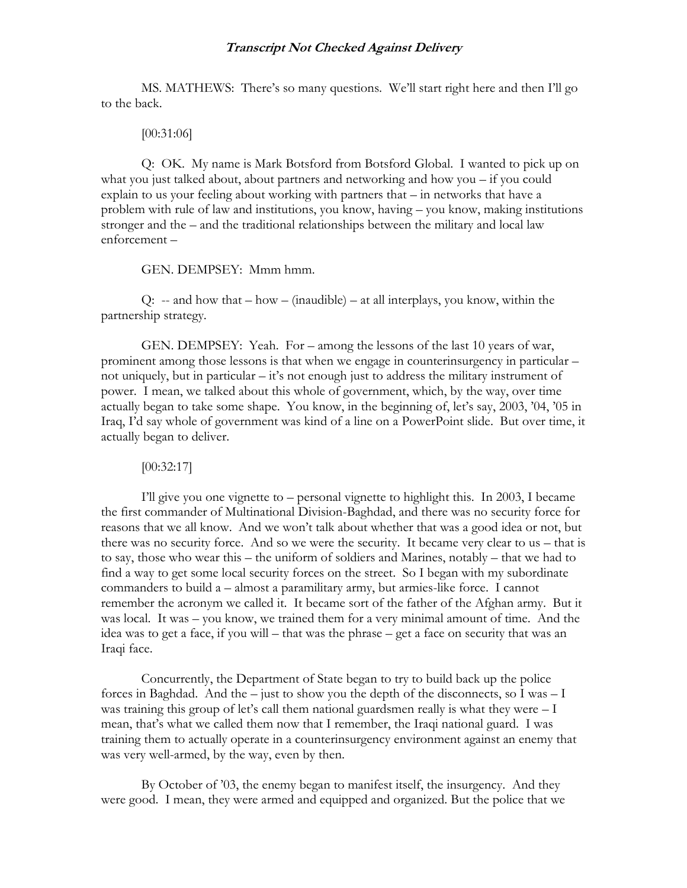MS. MATHEWS: There's so many questions. We'll start right here and then I'll go to the back.

[00:31:06]

Q: OK. My name is Mark Botsford from Botsford Global. I wanted to pick up on what you just talked about, about partners and networking and how you – if you could explain to us your feeling about working with partners that – in networks that have a problem with rule of law and institutions, you know, having – you know, making institutions stronger and the – and the traditional relationships between the military and local law enforcement –

GEN. DEMPSEY: Mmm hmm.

 $Q: -a$  and how that  $-bow - (inaudible) - at all interpolays, you know, within the$ partnership strategy.

GEN. DEMPSEY: Yeah. For – among the lessons of the last 10 years of war, prominent among those lessons is that when we engage in counterinsurgency in particular – not uniquely, but in particular – it's not enough just to address the military instrument of power. I mean, we talked about this whole of government, which, by the way, over time actually began to take some shape. You know, in the beginning of, let's say, 2003, '04, '05 in Iraq, I'd say whole of government was kind of a line on a PowerPoint slide. But over time, it actually began to deliver.

[00:32:17]

I'll give you one vignette to – personal vignette to highlight this. In 2003, I became the first commander of Multinational Division-Baghdad, and there was no security force for reasons that we all know. And we won't talk about whether that was a good idea or not, but there was no security force. And so we were the security. It became very clear to us – that is to say, those who wear this – the uniform of soldiers and Marines, notably – that we had to find a way to get some local security forces on the street. So I began with my subordinate commanders to build a – almost a paramilitary army, but armies-like force. I cannot remember the acronym we called it. It became sort of the father of the Afghan army. But it was local. It was – you know, we trained them for a very minimal amount of time. And the idea was to get a face, if you will – that was the phrase – get a face on security that was an Iraqi face.

Concurrently, the Department of State began to try to build back up the police forces in Baghdad. And the  $-$  just to show you the depth of the disconnects, so I was  $-$  I was training this group of let's call them national guardsmen really is what they were  $-1$ mean, that's what we called them now that I remember, the Iraqi national guard. I was training them to actually operate in a counterinsurgency environment against an enemy that was very well-armed, by the way, even by then.

By October of '03, the enemy began to manifest itself, the insurgency. And they were good. I mean, they were armed and equipped and organized. But the police that we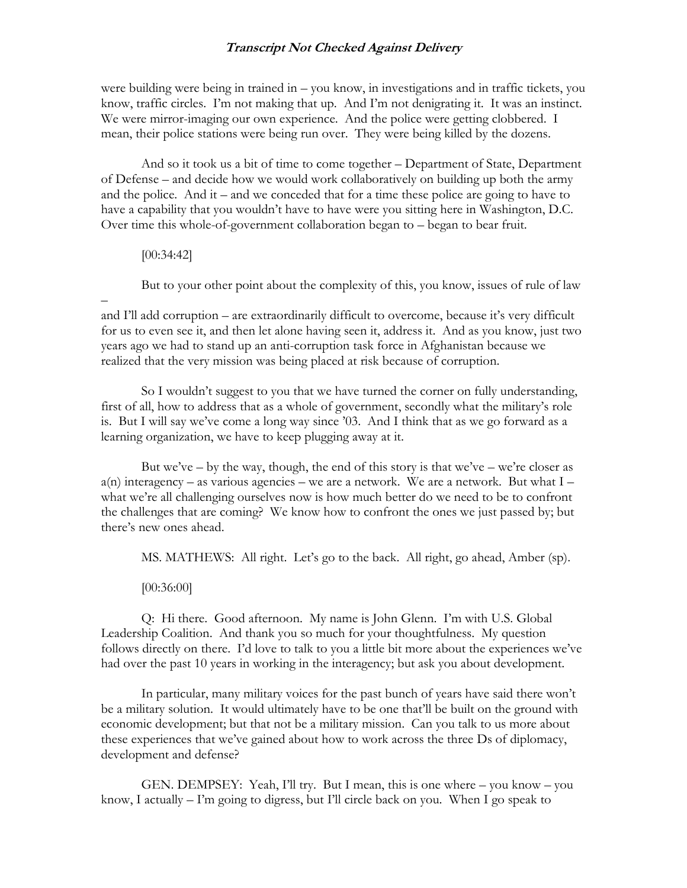were building were being in trained in – you know, in investigations and in traffic tickets, you know, traffic circles. I'm not making that up. And I'm not denigrating it. It was an instinct. We were mirror-imaging our own experience. And the police were getting clobbered. I mean, their police stations were being run over. They were being killed by the dozens.

And so it took us a bit of time to come together – Department of State, Department of Defense – and decide how we would work collaboratively on building up both the army and the police. And it – and we conceded that for a time these police are going to have to have a capability that you wouldn't have to have were you sitting here in Washington, D.C. Over time this whole-of-government collaboration began to – began to bear fruit.

### [00:34:42]

–

But to your other point about the complexity of this, you know, issues of rule of law

and I'll add corruption – are extraordinarily difficult to overcome, because it's very difficult for us to even see it, and then let alone having seen it, address it. And as you know, just two years ago we had to stand up an anti-corruption task force in Afghanistan because we realized that the very mission was being placed at risk because of corruption.

So I wouldn't suggest to you that we have turned the corner on fully understanding, first of all, how to address that as a whole of government, secondly what the military's role is. But I will say we've come a long way since '03. And I think that as we go forward as a learning organization, we have to keep plugging away at it.

But we've – by the way, though, the end of this story is that we've – we're closer as  $a(n)$  interagency – as various agencies – we are a network. We are a network. But what  $I$ what we're all challenging ourselves now is how much better do we need to be to confront the challenges that are coming? We know how to confront the ones we just passed by; but there's new ones ahead.

MS. MATHEWS: All right. Let's go to the back. All right, go ahead, Amber (sp).

[00:36:00]

Q: Hi there. Good afternoon. My name is John Glenn. I'm with U.S. Global Leadership Coalition. And thank you so much for your thoughtfulness. My question follows directly on there. I'd love to talk to you a little bit more about the experiences we've had over the past 10 years in working in the interagency; but ask you about development.

In particular, many military voices for the past bunch of years have said there won't be a military solution. It would ultimately have to be one that'll be built on the ground with economic development; but that not be a military mission. Can you talk to us more about these experiences that we've gained about how to work across the three Ds of diplomacy, development and defense?

GEN. DEMPSEY: Yeah, I'll try. But I mean, this is one where  $-$  you know  $-$  you know, I actually – I'm going to digress, but I'll circle back on you. When I go speak to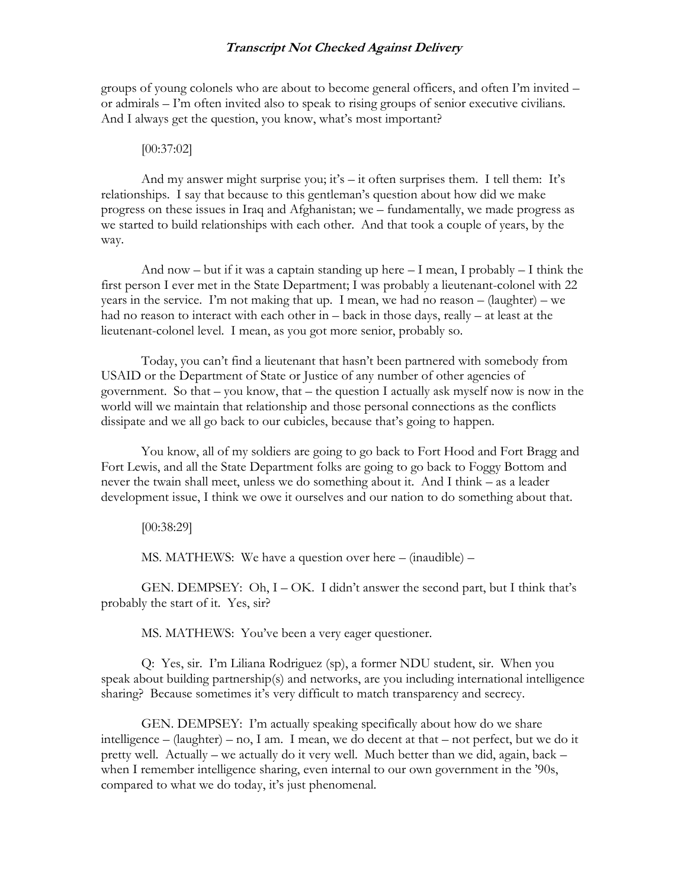groups of young colonels who are about to become general officers, and often I'm invited – or admirals – I'm often invited also to speak to rising groups of senior executive civilians. And I always get the question, you know, what's most important?

#### [00:37:02]

And my answer might surprise you; it's  $-$  it often surprises them. I tell them: It's relationships. I say that because to this gentleman's question about how did we make progress on these issues in Iraq and Afghanistan; we – fundamentally, we made progress as we started to build relationships with each other. And that took a couple of years, by the way.

And now – but if it was a captain standing up here  $-1$  mean, I probably  $-1$  think the first person I ever met in the State Department; I was probably a lieutenant-colonel with 22 years in the service. I'm not making that up. I mean, we had no reason – (laughter) – we had no reason to interact with each other in – back in those days, really – at least at the lieutenant-colonel level. I mean, as you got more senior, probably so.

Today, you can't find a lieutenant that hasn't been partnered with somebody from USAID or the Department of State or Justice of any number of other agencies of government. So that – you know, that – the question I actually ask myself now is now in the world will we maintain that relationship and those personal connections as the conflicts dissipate and we all go back to our cubicles, because that's going to happen.

You know, all of my soldiers are going to go back to Fort Hood and Fort Bragg and Fort Lewis, and all the State Department folks are going to go back to Foggy Bottom and never the twain shall meet, unless we do something about it. And I think – as a leader development issue, I think we owe it ourselves and our nation to do something about that.

[00:38:29]

MS. MATHEWS: We have a question over here – (inaudible) –

GEN. DEMPSEY: Oh, I – OK. I didn't answer the second part, but I think that's probably the start of it. Yes, sir?

MS. MATHEWS: You've been a very eager questioner.

Q: Yes, sir. I'm Liliana Rodriguez (sp), a former NDU student, sir. When you speak about building partnership(s) and networks, are you including international intelligence sharing? Because sometimes it's very difficult to match transparency and secrecy.

GEN. DEMPSEY: I'm actually speaking specifically about how do we share intelligence – (laughter) – no, I am. I mean, we do decent at that – not perfect, but we do it pretty well. Actually – we actually do it very well. Much better than we did, again, back – when I remember intelligence sharing, even internal to our own government in the '90s, compared to what we do today, it's just phenomenal.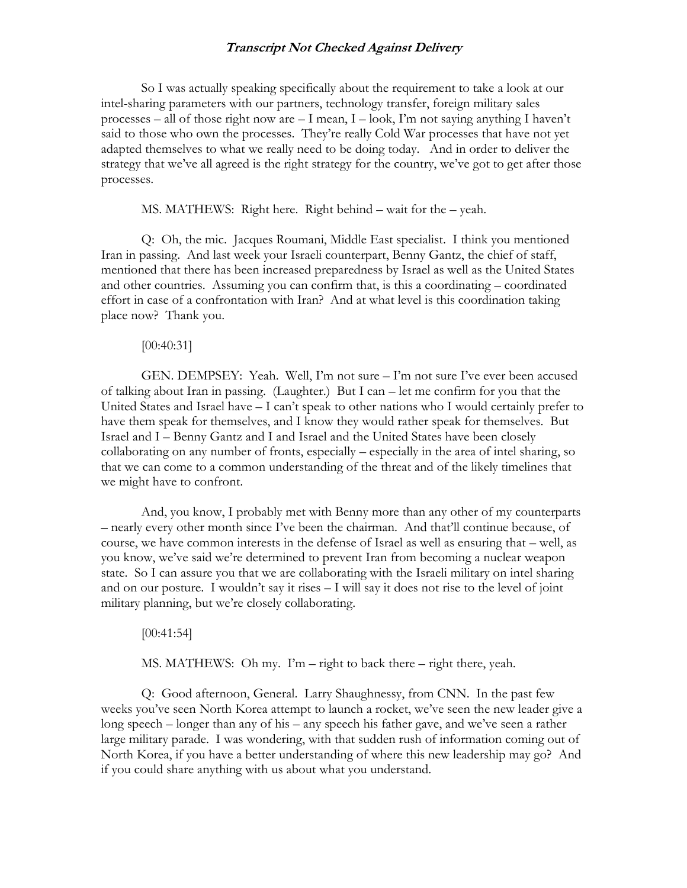So I was actually speaking specifically about the requirement to take a look at our intel-sharing parameters with our partners, technology transfer, foreign military sales processes – all of those right now are – I mean, I – look, I'm not saying anything I haven't said to those who own the processes. They're really Cold War processes that have not yet adapted themselves to what we really need to be doing today. And in order to deliver the strategy that we've all agreed is the right strategy for the country, we've got to get after those processes.

MS. MATHEWS: Right here. Right behind – wait for the – yeah.

Q: Oh, the mic. Jacques Roumani, Middle East specialist. I think you mentioned Iran in passing. And last week your Israeli counterpart, Benny Gantz, the chief of staff, mentioned that there has been increased preparedness by Israel as well as the United States and other countries. Assuming you can confirm that, is this a coordinating – coordinated effort in case of a confrontation with Iran? And at what level is this coordination taking place now? Thank you.

#### [00:40:31]

GEN. DEMPSEY: Yeah. Well, I'm not sure – I'm not sure I've ever been accused of talking about Iran in passing. (Laughter.) But I can – let me confirm for you that the United States and Israel have – I can't speak to other nations who I would certainly prefer to have them speak for themselves, and I know they would rather speak for themselves. But Israel and I – Benny Gantz and I and Israel and the United States have been closely collaborating on any number of fronts, especially – especially in the area of intel sharing, so that we can come to a common understanding of the threat and of the likely timelines that we might have to confront.

And, you know, I probably met with Benny more than any other of my counterparts – nearly every other month since I've been the chairman. And that'll continue because, of course, we have common interests in the defense of Israel as well as ensuring that – well, as you know, we've said we're determined to prevent Iran from becoming a nuclear weapon state. So I can assure you that we are collaborating with the Israeli military on intel sharing and on our posture. I wouldn't say it rises – I will say it does not rise to the level of joint military planning, but we're closely collaborating.

#### [00:41:54]

MS. MATHEWS: Oh my. I'm – right to back there – right there, yeah.

Q: Good afternoon, General. Larry Shaughnessy, from CNN. In the past few weeks you've seen North Korea attempt to launch a rocket, we've seen the new leader give a long speech – longer than any of his – any speech his father gave, and we've seen a rather large military parade. I was wondering, with that sudden rush of information coming out of North Korea, if you have a better understanding of where this new leadership may go? And if you could share anything with us about what you understand.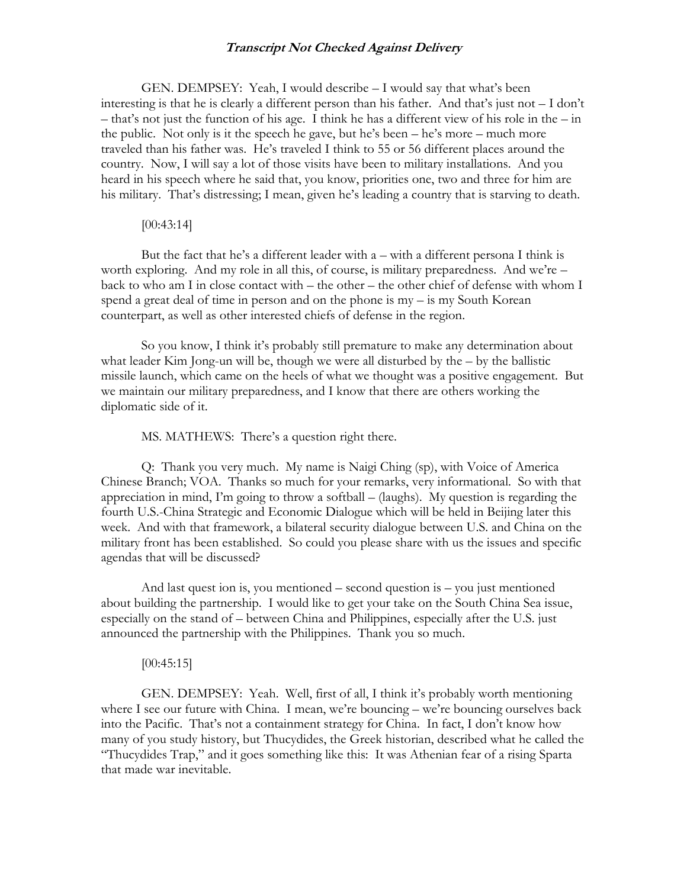GEN. DEMPSEY: Yeah, I would describe – I would say that what's been interesting is that he is clearly a different person than his father. And that's just not – I don't – that's not just the function of his age. I think he has a different view of his role in the – in the public. Not only is it the speech he gave, but he's been – he's more – much more traveled than his father was. He's traveled I think to 55 or 56 different places around the country. Now, I will say a lot of those visits have been to military installations. And you heard in his speech where he said that, you know, priorities one, two and three for him are his military. That's distressing; I mean, given he's leading a country that is starving to death.

# [00:43:14]

But the fact that he's a different leader with a – with a different persona I think is worth exploring. And my role in all this, of course, is military preparedness. And we're – back to who am I in close contact with – the other – the other chief of defense with whom I spend a great deal of time in person and on the phone is my – is my South Korean counterpart, as well as other interested chiefs of defense in the region.

So you know, I think it's probably still premature to make any determination about what leader Kim Jong-un will be, though we were all disturbed by the – by the ballistic missile launch, which came on the heels of what we thought was a positive engagement. But we maintain our military preparedness, and I know that there are others working the diplomatic side of it.

MS. MATHEWS: There's a question right there.

Q: Thank you very much. My name is Naigi Ching (sp), with Voice of America Chinese Branch; VOA. Thanks so much for your remarks, very informational. So with that appreciation in mind, I'm going to throw a softball – (laughs). My question is regarding the fourth U.S.-China Strategic and Economic Dialogue which will be held in Beijing later this week. And with that framework, a bilateral security dialogue between U.S. and China on the military front has been established. So could you please share with us the issues and specific agendas that will be discussed?

And last quest ion is, you mentioned – second question is – you just mentioned about building the partnership. I would like to get your take on the South China Sea issue, especially on the stand of – between China and Philippines, especially after the U.S. just announced the partnership with the Philippines. Thank you so much.

### [00:45:15]

GEN. DEMPSEY: Yeah. Well, first of all, I think it's probably worth mentioning where I see our future with China. I mean, we're bouncing – we're bouncing ourselves back into the Pacific. That's not a containment strategy for China. In fact, I don't know how many of you study history, but Thucydides, the Greek historian, described what he called the "Thucydides Trap," and it goes something like this: It was Athenian fear of a rising Sparta that made war inevitable.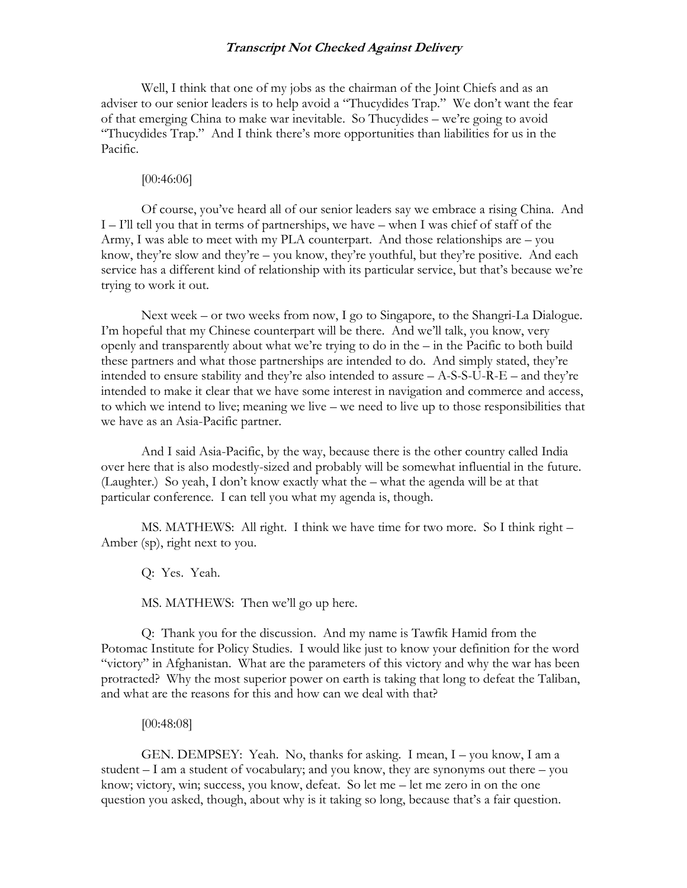Well, I think that one of my jobs as the chairman of the Joint Chiefs and as an adviser to our senior leaders is to help avoid a "Thucydides Trap." We don't want the fear of that emerging China to make war inevitable. So Thucydides – we're going to avoid "Thucydides Trap." And I think there's more opportunities than liabilities for us in the Pacific.

[00:46:06]

Of course, you've heard all of our senior leaders say we embrace a rising China. And I – I'll tell you that in terms of partnerships, we have – when I was chief of staff of the Army, I was able to meet with my PLA counterpart. And those relationships are – you know, they're slow and they're – you know, they're youthful, but they're positive. And each service has a different kind of relationship with its particular service, but that's because we're trying to work it out.

Next week – or two weeks from now, I go to Singapore, to the Shangri-La Dialogue. I'm hopeful that my Chinese counterpart will be there. And we'll talk, you know, very openly and transparently about what we're trying to do in the – in the Pacific to both build these partners and what those partnerships are intended to do. And simply stated, they're intended to ensure stability and they're also intended to assure  $- A-S-S-U-R-E-$  and they're intended to make it clear that we have some interest in navigation and commerce and access, to which we intend to live; meaning we live – we need to live up to those responsibilities that we have as an Asia-Pacific partner.

And I said Asia-Pacific, by the way, because there is the other country called India over here that is also modestly-sized and probably will be somewhat influential in the future. (Laughter.) So yeah, I don't know exactly what the – what the agenda will be at that particular conference. I can tell you what my agenda is, though.

MS. MATHEWS: All right. I think we have time for two more. So I think right – Amber (sp), right next to you.

Q: Yes. Yeah.

MS. MATHEWS: Then we'll go up here.

Q: Thank you for the discussion. And my name is Tawfik Hamid from the Potomac Institute for Policy Studies. I would like just to know your definition for the word "victory" in Afghanistan. What are the parameters of this victory and why the war has been protracted? Why the most superior power on earth is taking that long to defeat the Taliban, and what are the reasons for this and how can we deal with that?

[00:48:08]

GEN. DEMPSEY: Yeah. No, thanks for asking. I mean, I – you know, I am a student – I am a student of vocabulary; and you know, they are synonyms out there – you know; victory, win; success, you know, defeat. So let me – let me zero in on the one question you asked, though, about why is it taking so long, because that's a fair question.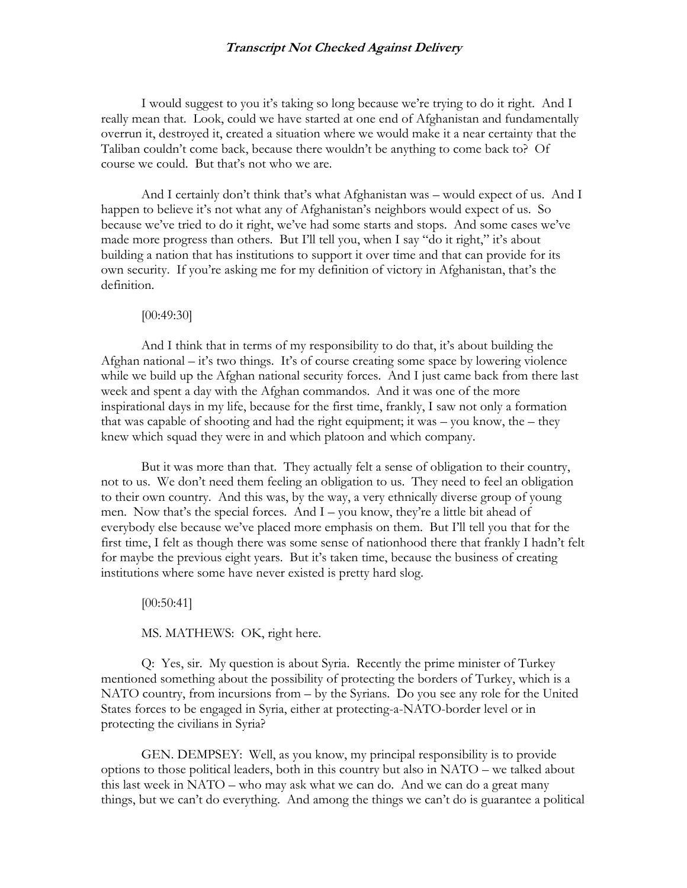I would suggest to you it's taking so long because we're trying to do it right. And I really mean that. Look, could we have started at one end of Afghanistan and fundamentally overrun it, destroyed it, created a situation where we would make it a near certainty that the Taliban couldn't come back, because there wouldn't be anything to come back to? Of course we could. But that's not who we are.

And I certainly don't think that's what Afghanistan was – would expect of us. And I happen to believe it's not what any of Afghanistan's neighbors would expect of us. So because we've tried to do it right, we've had some starts and stops. And some cases we've made more progress than others. But I'll tell you, when I say "do it right," it's about building a nation that has institutions to support it over time and that can provide for its own security. If you're asking me for my definition of victory in Afghanistan, that's the definition.

#### [00:49:30]

And I think that in terms of my responsibility to do that, it's about building the Afghan national – it's two things. It's of course creating some space by lowering violence while we build up the Afghan national security forces. And I just came back from there last week and spent a day with the Afghan commandos. And it was one of the more inspirational days in my life, because for the first time, frankly, I saw not only a formation that was capable of shooting and had the right equipment; it was – you know, the – they knew which squad they were in and which platoon and which company.

But it was more than that. They actually felt a sense of obligation to their country, not to us. We don't need them feeling an obligation to us. They need to feel an obligation to their own country. And this was, by the way, a very ethnically diverse group of young men. Now that's the special forces. And I – you know, they're a little bit ahead of everybody else because we've placed more emphasis on them. But I'll tell you that for the first time, I felt as though there was some sense of nationhood there that frankly I hadn't felt for maybe the previous eight years. But it's taken time, because the business of creating institutions where some have never existed is pretty hard slog.

[00:50:41]

MS. MATHEWS: OK, right here.

Q: Yes, sir. My question is about Syria. Recently the prime minister of Turkey mentioned something about the possibility of protecting the borders of Turkey, which is a NATO country, from incursions from – by the Syrians. Do you see any role for the United States forces to be engaged in Syria, either at protecting-a-NATO-border level or in protecting the civilians in Syria?

GEN. DEMPSEY: Well, as you know, my principal responsibility is to provide options to those political leaders, both in this country but also in NATO – we talked about this last week in NATO – who may ask what we can do. And we can do a great many things, but we can't do everything. And among the things we can't do is guarantee a political